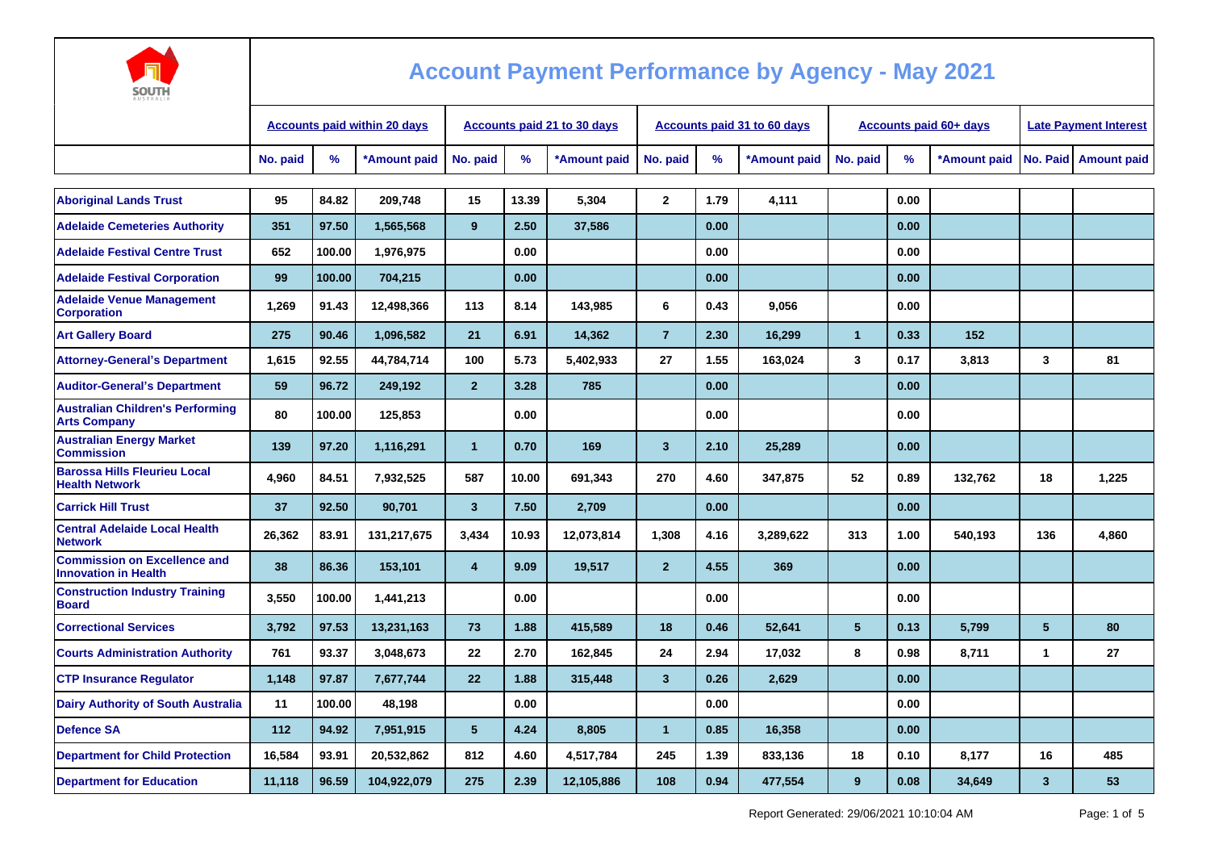

| ----<br>AUSTRALI.                                                  |          |                                     |                             |                   |       |              |                         |                                    |              |                               |                              |              |              |                    |
|--------------------------------------------------------------------|----------|-------------------------------------|-----------------------------|-------------------|-------|--------------|-------------------------|------------------------------------|--------------|-------------------------------|------------------------------|--------------|--------------|--------------------|
|                                                                    |          | <b>Accounts paid within 20 days</b> | Accounts paid 21 to 30 days |                   |       |              |                         | <b>Accounts paid 31 to 60 days</b> |              | <b>Accounts paid 60+ days</b> | <b>Late Payment Interest</b> |              |              |                    |
|                                                                    | No. paid | %                                   | *Amount paid                | No. paid          | $\%$  | *Amount paid | No. paid                | %                                  | *Amount paid | No. paid                      | %                            | *Amount paid | No. Paid     | <b>Amount paid</b> |
|                                                                    |          |                                     |                             |                   |       |              |                         |                                    |              |                               |                              |              |              |                    |
| <b>Aboriginal Lands Trust</b>                                      | 95       | 84.82                               | 209.748                     | 15                | 13.39 | 5,304        | $\mathbf{2}$            | 1.79                               | 4,111        |                               | 0.00                         |              |              |                    |
| <b>Adelaide Cemeteries Authority</b>                               | 351      | 97.50                               | 1,565,568                   | 9                 | 2.50  | 37,586       |                         | 0.00                               |              |                               | 0.00                         |              |              |                    |
| <b>Adelaide Festival Centre Trust</b>                              | 652      | 100.00                              | 1,976,975                   |                   | 0.00  |              |                         | 0.00                               |              |                               | 0.00                         |              |              |                    |
| <b>Adelaide Festival Corporation</b>                               | 99       | 100.00                              | 704,215                     |                   | 0.00  |              |                         | 0.00                               |              |                               | 0.00                         |              |              |                    |
| <b>Adelaide Venue Management</b><br><b>Corporation</b>             | 1,269    | 91.43                               | 12,498,366                  | 113               | 8.14  | 143,985      | 6                       | 0.43                               | 9,056        |                               | 0.00                         |              |              |                    |
| <b>Art Gallery Board</b>                                           | 275      | 90.46                               | 1,096,582                   | 21                | 6.91  | 14,362       | $\overline{7}$          | 2.30                               | 16.299       | $\mathbf{1}$                  | 0.33                         | 152          |              |                    |
| <b>Attorney-General's Department</b>                               | 1,615    | 92.55                               | 44,784,714                  | 100               | 5.73  | 5,402,933    | 27                      | 1.55                               | 163,024      | 3                             | 0.17                         | 3,813        | 3            | 81                 |
| <b>Auditor-General's Department</b>                                | 59       | 96.72                               | 249,192                     | 2 <sup>2</sup>    | 3.28  | 785          |                         | 0.00                               |              |                               | 0.00                         |              |              |                    |
| <b>Australian Children's Performing</b><br><b>Arts Company</b>     | 80       | 100.00                              | 125,853                     |                   | 0.00  |              |                         | 0.00                               |              |                               | 0.00                         |              |              |                    |
| <b>Australian Energy Market</b><br><b>Commission</b>               | 139      | 97.20                               | 1,116,291                   | $\mathbf{1}$      | 0.70  | 169          | $\overline{\mathbf{3}}$ | 2.10                               | 25,289       |                               | 0.00                         |              |              |                    |
| <b>Barossa Hills Fleurieu Local</b><br><b>Health Network</b>       | 4,960    | 84.51                               | 7,932,525                   | 587               | 10.00 | 691,343      | 270                     | 4.60                               | 347,875      | 52                            | 0.89                         | 132,762      | 18           | 1,225              |
| <b>Carrick Hill Trust</b>                                          | 37       | 92.50                               | 90.701                      | $\overline{3}$    | 7.50  | 2,709        |                         | 0.00                               |              |                               | 0.00                         |              |              |                    |
| <b>Central Adelaide Local Health</b><br><b>Network</b>             | 26,362   | 83.91                               | 131,217,675                 | 3,434             | 10.93 | 12,073,814   | 1,308                   | 4.16                               | 3,289,622    | 313                           | 1.00                         | 540,193      | 136          | 4,860              |
| <b>Commission on Excellence and</b><br><b>Innovation in Health</b> | 38       | 86.36                               | 153,101                     | $\overline{4}$    | 9.09  | 19,517       | $\overline{2}$          | 4.55                               | 369          |                               | 0.00                         |              |              |                    |
| <b>Construction Industry Training</b><br><b>Board</b>              | 3,550    | 100.00                              | 1,441,213                   |                   | 0.00  |              |                         | 0.00                               |              |                               | 0.00                         |              |              |                    |
| <b>Correctional Services</b>                                       | 3,792    | 97.53                               | 13,231,163                  | 73                | 1.88  | 415,589      | 18                      | 0.46                               | 52,641       | $5\phantom{.0}$               | 0.13                         | 5,799        | 5            | 80                 |
| <b>Courts Administration Authority</b>                             | 761      | 93.37                               | 3,048,673                   | 22                | 2.70  | 162,845      | 24                      | 2.94                               | 17,032       | 8                             | 0.98                         | 8,711        | $\mathbf 1$  | 27                 |
| <b>CTP Insurance Regulator</b>                                     | 1,148    | 97.87                               | 7,677,744                   | $22 \overline{ }$ | 1.88  | 315,448      | $\overline{\mathbf{3}}$ | 0.26                               | 2,629        |                               | 0.00                         |              |              |                    |
| <b>Dairy Authority of South Australia</b>                          | 11       | 100.00                              | 48,198                      |                   | 0.00  |              |                         | 0.00                               |              |                               | 0.00                         |              |              |                    |
| <b>Defence SA</b>                                                  | 112      | 94.92                               | 7,951,915                   | $5\phantom{.0}$   | 4.24  | 8,805        | $\overline{1}$          | 0.85                               | 16.358       |                               | 0.00                         |              |              |                    |
| <b>Department for Child Protection</b>                             | 16,584   | 93.91                               | 20,532,862                  | 812               | 4.60  | 4,517,784    | 245                     | 1.39                               | 833,136      | 18                            | 0.10                         | 8,177        | 16           | 485                |
| <b>Department for Education</b>                                    | 11,118   | 96.59                               | 104,922,079                 | 275               | 2.39  | 12,105,886   | 108                     | 0.94                               | 477,554      | 9                             | 0.08                         | 34,649       | $\mathbf{3}$ | 53                 |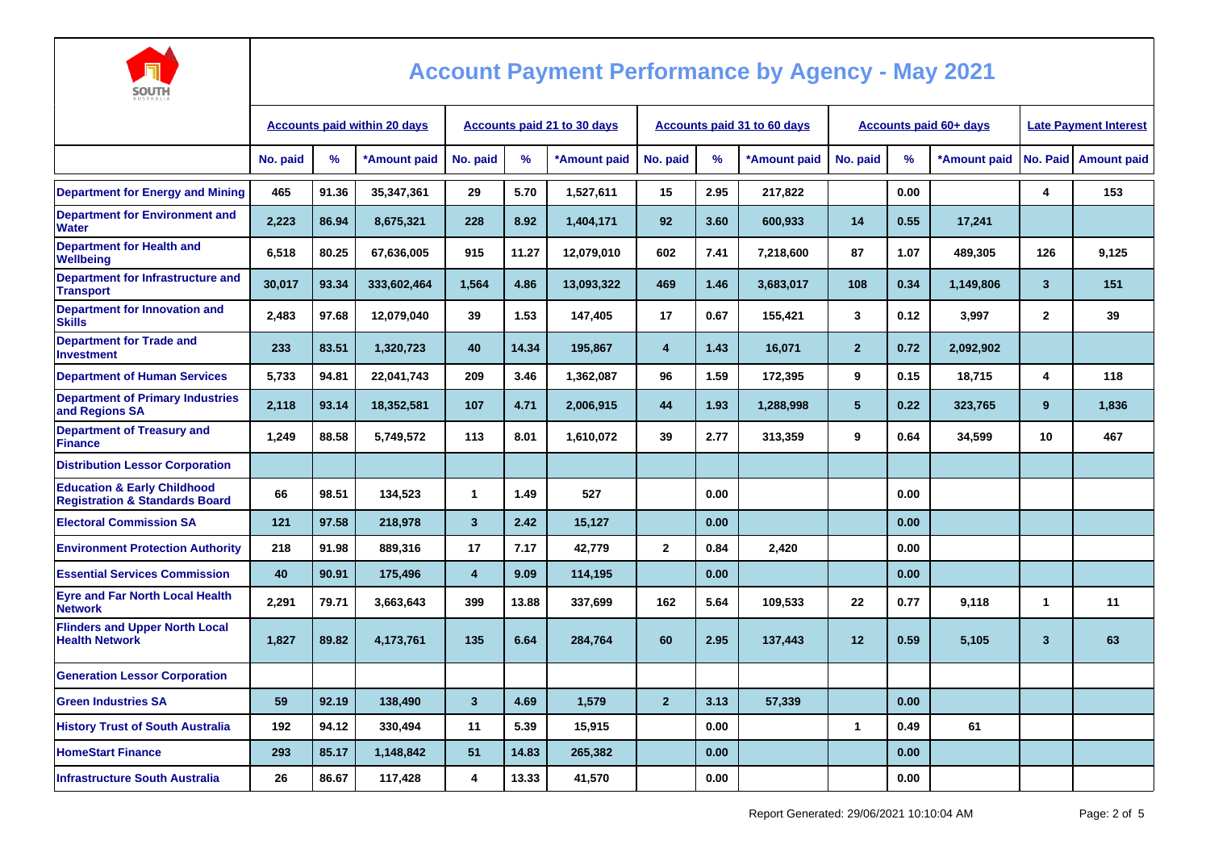

| AUSTRALIA                                                                           |                                     |       |                                    |                         |       |                                    |                         |      |                               |                |      |                              |              |                    |
|-------------------------------------------------------------------------------------|-------------------------------------|-------|------------------------------------|-------------------------|-------|------------------------------------|-------------------------|------|-------------------------------|----------------|------|------------------------------|--------------|--------------------|
|                                                                                     | <b>Accounts paid within 20 days</b> |       | <b>Accounts paid 21 to 30 days</b> |                         |       | <b>Accounts paid 31 to 60 days</b> |                         |      | <b>Accounts paid 60+ days</b> |                |      | <b>Late Payment Interest</b> |              |                    |
|                                                                                     | No. paid                            | $\%$  | *Amount paid                       | No. paid                | %     | *Amount paid                       | No. paid                | %    | *Amount paid                  | No. paid       | %    | *Amount paid                 | No. Paid     | <b>Amount paid</b> |
| <b>Department for Energy and Mining</b>                                             | 465                                 | 91.36 | 35,347,361                         | 29                      | 5.70  | 1,527,611                          | 15                      | 2.95 | 217,822                       |                | 0.00 |                              | 4            | 153                |
| <b>Department for Environment and</b><br>Water                                      | 2,223                               | 86.94 | 8,675,321                          | 228                     | 8.92  | 1,404,171                          | 92                      | 3.60 | 600,933                       | 14             | 0.55 | 17,241                       |              |                    |
| <b>Department for Health and</b><br>Wellbeing                                       | 6,518                               | 80.25 | 67,636,005                         | 915                     | 11.27 | 12,079,010                         | 602                     | 7.41 | 7,218,600                     | 87             | 1.07 | 489,305                      | 126          | 9,125              |
| <b>Department for Infrastructure and</b><br><b>Transport</b>                        | 30,017                              | 93.34 | 333,602,464                        | 1,564                   | 4.86  | 13,093,322                         | 469                     | 1.46 | 3,683,017                     | 108            | 0.34 | 1,149,806                    | $\mathbf{3}$ | 151                |
| Department for Innovation and<br><b>Skills</b>                                      | 2,483                               | 97.68 | 12,079,040                         | 39                      | 1.53  | 147,405                            | 17                      | 0.67 | 155,421                       | 3              | 0.12 | 3,997                        | $\mathbf{2}$ | 39                 |
| <b>Department for Trade and</b><br><b>Investment</b>                                | 233                                 | 83.51 | 1,320,723                          | 40                      | 14.34 | 195,867                            | $\overline{\mathbf{4}}$ | 1.43 | 16,071                        | $\overline{2}$ | 0.72 | 2,092,902                    |              |                    |
| <b>Department of Human Services</b>                                                 | 5,733                               | 94.81 | 22,041,743                         | 209                     | 3.46  | 1,362,087                          | 96                      | 1.59 | 172,395                       | 9              | 0.15 | 18,715                       | 4            | 118                |
| <b>Department of Primary Industries</b><br>and Regions SA                           | 2,118                               | 93.14 | 18,352,581                         | 107                     | 4.71  | 2,006,915                          | 44                      | 1.93 | 1,288,998                     | 5 <sup>5</sup> | 0.22 | 323,765                      | 9            | 1,836              |
| <b>Department of Treasury and</b><br><b>Finance</b>                                 | 1,249                               | 88.58 | 5,749,572                          | 113                     | 8.01  | 1,610,072                          | 39                      | 2.77 | 313,359                       | 9              | 0.64 | 34,599                       | 10           | 467                |
| <b>Distribution Lessor Corporation</b>                                              |                                     |       |                                    |                         |       |                                    |                         |      |                               |                |      |                              |              |                    |
| <b>Education &amp; Early Childhood</b><br><b>Registration &amp; Standards Board</b> | 66                                  | 98.51 | 134,523                            | 1                       | 1.49  | 527                                |                         | 0.00 |                               |                | 0.00 |                              |              |                    |
| <b>Electoral Commission SA</b>                                                      | 121                                 | 97.58 | 218,978                            | $\overline{\mathbf{3}}$ | 2.42  | 15,127                             |                         | 0.00 |                               |                | 0.00 |                              |              |                    |
| <b>Environment Protection Authority</b>                                             | 218                                 | 91.98 | 889,316                            | 17                      | 7.17  | 42,779                             | $\mathbf{2}$            | 0.84 | 2,420                         |                | 0.00 |                              |              |                    |
| <b>Essential Services Commission</b>                                                | 40                                  | 90.91 | 175,496                            | $\overline{4}$          | 9.09  | 114,195                            |                         | 0.00 |                               |                | 0.00 |                              |              |                    |
| <b>Eyre and Far North Local Health</b><br><b>Network</b>                            | 2,291                               | 79.71 | 3,663,643                          | 399                     | 13.88 | 337,699                            | 162                     | 5.64 | 109,533                       | 22             | 0.77 | 9,118                        | 1            | 11                 |
| <b>Flinders and Upper North Local</b><br><b>Health Network</b>                      | 1,827                               | 89.82 | 4,173,761                          | 135                     | 6.64  | 284,764                            | 60                      | 2.95 | 137,443                       | 12             | 0.59 | 5,105                        | $\mathbf{3}$ | 63                 |
| <b>Generation Lessor Corporation</b>                                                |                                     |       |                                    |                         |       |                                    |                         |      |                               |                |      |                              |              |                    |
| <b>Green Industries SA</b>                                                          | 59                                  | 92.19 | 138,490                            | $\overline{\mathbf{3}}$ | 4.69  | 1,579                              | $\overline{2}$          | 3.13 | 57,339                        |                | 0.00 |                              |              |                    |
| <b>History Trust of South Australia</b>                                             | 192                                 | 94.12 | 330,494                            | 11                      | 5.39  | 15,915                             |                         | 0.00 |                               | 1              | 0.49 | 61                           |              |                    |
| <b>HomeStart Finance</b>                                                            | 293                                 | 85.17 | 1,148,842                          | 51                      | 14.83 | 265,382                            |                         | 0.00 |                               |                | 0.00 |                              |              |                    |
| <b>Infrastructure South Australia</b>                                               | 26                                  | 86.67 | 117,428                            | 4                       | 13.33 | 41,570                             |                         | 0.00 |                               |                | 0.00 |                              |              |                    |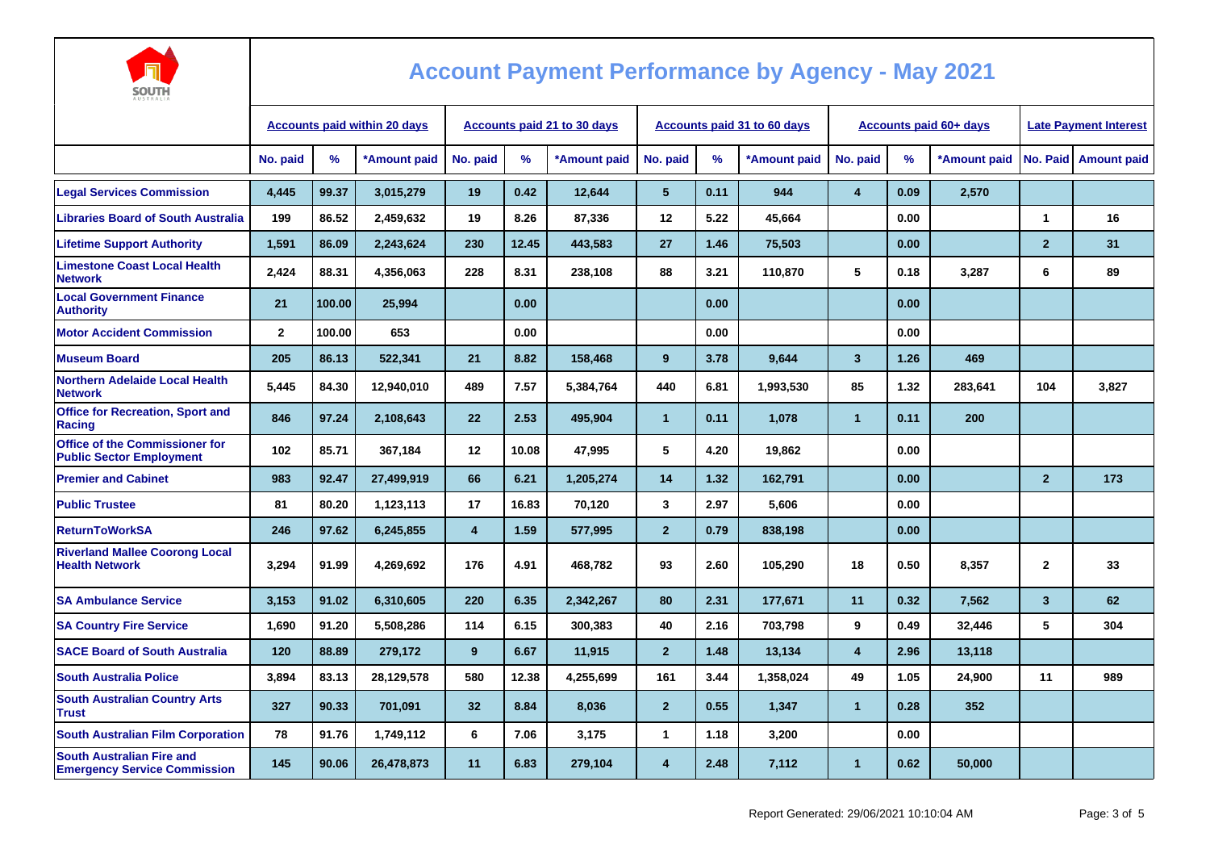

| <b>AUSTRALIA</b>                                                         |                                     |        |              |                                    |       |              |                      |      |                             |                         |                        |                              |                |                      |
|--------------------------------------------------------------------------|-------------------------------------|--------|--------------|------------------------------------|-------|--------------|----------------------|------|-----------------------------|-------------------------|------------------------|------------------------------|----------------|----------------------|
|                                                                          | <b>Accounts paid within 20 days</b> |        |              | <b>Accounts paid 21 to 30 days</b> |       |              |                      |      | Accounts paid 31 to 60 days |                         | Accounts paid 60+ days | <b>Late Payment Interest</b> |                |                      |
|                                                                          | No. paid                            | %      | *Amount paid | No. paid                           | %     | *Amount paid | No. paid             | %    | *Amount paid                | No. paid                | $\%$                   | *Amount paid                 |                | No. Paid Amount paid |
| <b>Legal Services Commission</b>                                         | 4.445                               | 99.37  | 3.015.279    | 19                                 | 0.42  | 12,644       | 5 <sup>5</sup>       | 0.11 | 944                         | $\overline{\mathbf{4}}$ | 0.09                   | 2,570                        |                |                      |
| <b>Libraries Board of South Australia</b>                                | 199                                 | 86.52  | 2,459,632    | 19                                 | 8.26  | 87,336       | 12                   | 5.22 | 45,664                      |                         | 0.00                   |                              | $\mathbf{1}$   | 16                   |
| <b>Lifetime Support Authority</b>                                        | 1,591                               | 86.09  | 2,243,624    | 230                                | 12.45 | 443,583      | 27                   | 1.46 | 75,503                      |                         | 0.00                   |                              | $\overline{2}$ | 31                   |
| <b>Limestone Coast Local Health</b><br><b>Network</b>                    | 2,424                               | 88.31  | 4,356,063    | 228                                | 8.31  | 238,108      | 88                   | 3.21 | 110,870                     | 5                       | 0.18                   | 3,287                        | 6              | 89                   |
| <b>Local Government Finance</b><br><b>Authority</b>                      | 21                                  | 100.00 | 25,994       |                                    | 0.00  |              |                      | 0.00 |                             |                         | 0.00                   |                              |                |                      |
| <b>Motor Accident Commission</b>                                         | $\mathbf{2}$                        | 100.00 | 653          |                                    | 0.00  |              |                      | 0.00 |                             |                         | 0.00                   |                              |                |                      |
| <b>Museum Board</b>                                                      | 205                                 | 86.13  | 522,341      | 21                                 | 8.82  | 158,468      | 9                    | 3.78 | 9,644                       | $\overline{\mathbf{3}}$ | 1.26                   | 469                          |                |                      |
| <b>Northern Adelaide Local Health</b><br><b>Network</b>                  | 5,445                               | 84.30  | 12,940,010   | 489                                | 7.57  | 5,384,764    | 440                  | 6.81 | 1,993,530                   | 85                      | 1.32                   | 283,641                      | 104            | 3,827                |
| <b>Office for Recreation, Sport and</b><br>Racing                        | 846                                 | 97.24  | 2,108,643    | 22                                 | 2.53  | 495,904      | $\blacktriangleleft$ | 0.11 | 1,078                       | $\mathbf{1}$            | 0.11                   | 200                          |                |                      |
| <b>Office of the Commissioner for</b><br><b>Public Sector Employment</b> | 102                                 | 85.71  | 367,184      | 12                                 | 10.08 | 47,995       | 5                    | 4.20 | 19,862                      |                         | 0.00                   |                              |                |                      |
| <b>Premier and Cabinet</b>                                               | 983                                 | 92.47  | 27,499,919   | 66                                 | 6.21  | 1,205,274    | 14                   | 1.32 | 162,791                     |                         | 0.00                   |                              | $\overline{2}$ | 173                  |
| <b>Public Trustee</b>                                                    | 81                                  | 80.20  | 1,123,113    | 17                                 | 16.83 | 70.120       | 3                    | 2.97 | 5.606                       |                         | 0.00                   |                              |                |                      |
| <b>ReturnToWorkSA</b>                                                    | 246                                 | 97.62  | 6,245,855    | $\overline{\mathbf{4}}$            | 1.59  | 577,995      | $\overline{2}$       | 0.79 | 838,198                     |                         | 0.00                   |                              |                |                      |
| <b>Riverland Mallee Coorong Local</b><br><b>Health Network</b>           | 3,294                               | 91.99  | 4,269,692    | 176                                | 4.91  | 468,782      | 93                   | 2.60 | 105,290                     | 18                      | 0.50                   | 8,357                        | $\mathbf{2}$   | 33                   |
| <b>SA Ambulance Service</b>                                              | 3,153                               | 91.02  | 6,310,605    | 220                                | 6.35  | 2,342,267    | 80                   | 2.31 | 177,671                     | 11                      | 0.32                   | 7,562                        | $\mathbf{3}$   | 62                   |
| <b>SA Country Fire Service</b>                                           | 1.690                               | 91.20  | 5,508,286    | 114                                | 6.15  | 300,383      | 40                   | 2.16 | 703,798                     | 9                       | 0.49                   | 32,446                       | 5              | 304                  |
| <b>SACE Board of South Australia</b>                                     | 120                                 | 88.89  | 279,172      | 9                                  | 6.67  | 11,915       | $\overline{2}$       | 1.48 | 13,134                      | $\overline{\mathbf{4}}$ | 2.96                   | 13,118                       |                |                      |
| <b>South Australia Police</b>                                            | 3,894                               | 83.13  | 28,129,578   | 580                                | 12.38 | 4,255,699    | 161                  | 3.44 | 1,358,024                   | 49                      | 1.05                   | 24,900                       | 11             | 989                  |
| <b>South Australian Country Arts</b><br><b>Trust</b>                     | 327                                 | 90.33  | 701,091      | 32                                 | 8.84  | 8,036        | $\overline{2}$       | 0.55 | 1,347                       | $\mathbf{1}$            | 0.28                   | 352                          |                |                      |
| <b>South Australian Film Corporation</b>                                 | 78                                  | 91.76  | 1,749,112    | 6                                  | 7.06  | 3,175        | $\mathbf{1}$         | 1.18 | 3,200                       |                         | 0.00                   |                              |                |                      |
| <b>South Australian Fire and</b><br><b>Emergency Service Commission</b>  | 145                                 | 90.06  | 26,478,873   | 11                                 | 6.83  | 279,104      | $\overline{4}$       | 2.48 | 7,112                       | $\mathbf{1}$            | 0.62                   | 50,000                       |                |                      |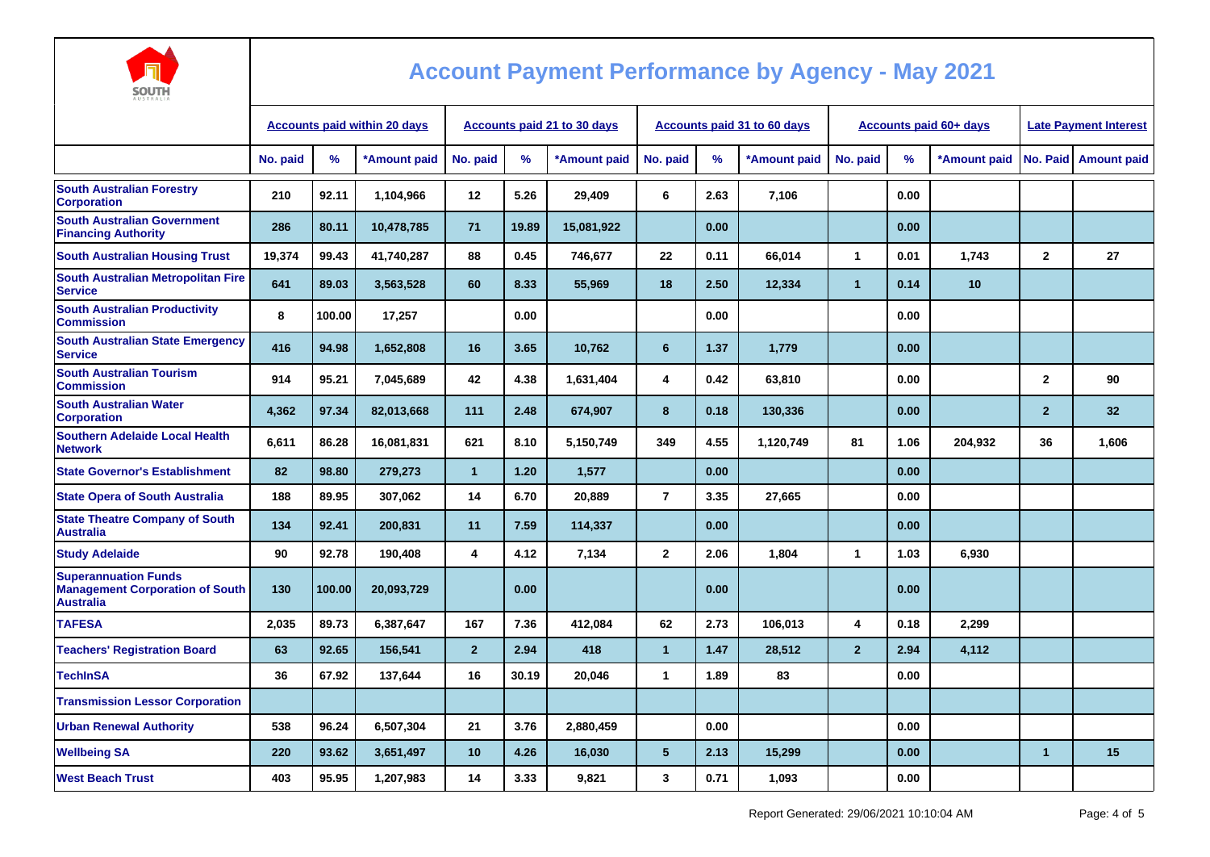

| AUSTRALIA                                                                                 |                                     |        |              |                                    |       |              |                 |      |                                    |                        |      |              |                              |                      |
|-------------------------------------------------------------------------------------------|-------------------------------------|--------|--------------|------------------------------------|-------|--------------|-----------------|------|------------------------------------|------------------------|------|--------------|------------------------------|----------------------|
|                                                                                           | <b>Accounts paid within 20 days</b> |        |              | <b>Accounts paid 21 to 30 days</b> |       |              |                 |      | <b>Accounts paid 31 to 60 days</b> | Accounts paid 60+ days |      |              | <b>Late Payment Interest</b> |                      |
|                                                                                           | No. paid                            | %      | *Amount paid | No. paid                           | %     | *Amount paid | No. paid        | %    | *Amount paid                       | No. paid               | $\%$ | *Amount paid |                              | No. Paid Amount paid |
| <b>South Australian Forestry</b><br><b>Corporation</b>                                    | 210                                 | 92.11  | 1,104,966    | 12                                 | 5.26  | 29,409       | 6               | 2.63 | 7,106                              |                        | 0.00 |              |                              |                      |
| <b>South Australian Government</b><br><b>Financing Authority</b>                          | 286                                 | 80.11  | 10,478,785   | 71                                 | 19.89 | 15,081,922   |                 | 0.00 |                                    |                        | 0.00 |              |                              |                      |
| <b>South Australian Housing Trust</b>                                                     | 19,374                              | 99.43  | 41,740,287   | 88                                 | 0.45  | 746,677      | 22              | 0.11 | 66,014                             | $\mathbf 1$            | 0.01 | 1,743        | $\mathbf{2}$                 | 27                   |
| <b>South Australian Metropolitan Fire</b><br><b>Service</b>                               | 641                                 | 89.03  | 3,563,528    | 60                                 | 8.33  | 55,969       | 18              | 2.50 | 12,334                             | $\mathbf{1}$           | 0.14 | 10           |                              |                      |
| <b>South Australian Productivity</b><br><b>Commission</b>                                 | 8                                   | 100.00 | 17,257       |                                    | 0.00  |              |                 | 0.00 |                                    |                        | 0.00 |              |                              |                      |
| <b>South Australian State Emergency</b><br><b>Service</b>                                 | 416                                 | 94.98  | 1,652,808    | 16                                 | 3.65  | 10,762       | 6               | 1.37 | 1,779                              |                        | 0.00 |              |                              |                      |
| <b>South Australian Tourism</b><br><b>Commission</b>                                      | 914                                 | 95.21  | 7,045,689    | 42                                 | 4.38  | 1,631,404    | 4               | 0.42 | 63,810                             |                        | 0.00 |              | $\mathbf{2}$                 | 90                   |
| <b>South Australian Water</b><br><b>Corporation</b>                                       | 4,362                               | 97.34  | 82,013,668   | 111                                | 2.48  | 674,907      | 8               | 0.18 | 130,336                            |                        | 0.00 |              | $\overline{2}$               | 32                   |
| <b>Southern Adelaide Local Health</b><br><b>Network</b>                                   | 6,611                               | 86.28  | 16,081,831   | 621                                | 8.10  | 5,150,749    | 349             | 4.55 | 1,120,749                          | 81                     | 1.06 | 204,932      | 36                           | 1,606                |
| <b>State Governor's Establishment</b>                                                     | 82                                  | 98.80  | 279,273      | $\mathbf{1}$                       | 1.20  | 1,577        |                 | 0.00 |                                    |                        | 0.00 |              |                              |                      |
| <b>State Opera of South Australia</b>                                                     | 188                                 | 89.95  | 307,062      | 14                                 | 6.70  | 20,889       | $\overline{7}$  | 3.35 | 27,665                             |                        | 0.00 |              |                              |                      |
| <b>State Theatre Company of South</b><br><b>Australia</b>                                 | 134                                 | 92.41  | 200,831      | 11                                 | 7.59  | 114,337      |                 | 0.00 |                                    |                        | 0.00 |              |                              |                      |
| <b>Study Adelaide</b>                                                                     | 90                                  | 92.78  | 190,408      | 4                                  | 4.12  | 7,134        | $\mathbf{2}$    | 2.06 | 1,804                              | $\mathbf{1}$           | 1.03 | 6,930        |                              |                      |
| <b>Superannuation Funds</b><br><b>Management Corporation of South</b><br><b>Australia</b> | 130                                 | 100.00 | 20,093,729   |                                    | 0.00  |              |                 | 0.00 |                                    |                        | 0.00 |              |                              |                      |
| <b>TAFESA</b>                                                                             | 2,035                               | 89.73  | 6,387,647    | 167                                | 7.36  | 412,084      | 62              | 2.73 | 106,013                            | 4                      | 0.18 | 2,299        |                              |                      |
| <b>Teachers' Registration Board</b>                                                       | 63                                  | 92.65  | 156,541      | 2 <sup>1</sup>                     | 2.94  | 418          | $\mathbf{1}$    | 1.47 | 28,512                             | $\overline{2}$         | 2.94 | 4,112        |                              |                      |
| <b>TechInSA</b>                                                                           | 36                                  | 67.92  | 137,644      | 16                                 | 30.19 | 20,046       | $\mathbf{1}$    | 1.89 | 83                                 |                        | 0.00 |              |                              |                      |
| <b>Transmission Lessor Corporation</b>                                                    |                                     |        |              |                                    |       |              |                 |      |                                    |                        |      |              |                              |                      |
| <b>Urban Renewal Authority</b>                                                            | 538                                 | 96.24  | 6,507,304    | 21                                 | 3.76  | 2,880,459    |                 | 0.00 |                                    |                        | 0.00 |              |                              |                      |
| <b>Wellbeing SA</b>                                                                       | 220                                 | 93.62  | 3,651,497    | 10                                 | 4.26  | 16,030       | $5\phantom{.0}$ | 2.13 | 15,299                             |                        | 0.00 |              | $\overline{1}$               | 15                   |
| <b>West Beach Trust</b>                                                                   | 403                                 | 95.95  | 1,207,983    | 14                                 | 3.33  | 9,821        | 3               | 0.71 | 1,093                              |                        | 0.00 |              |                              |                      |